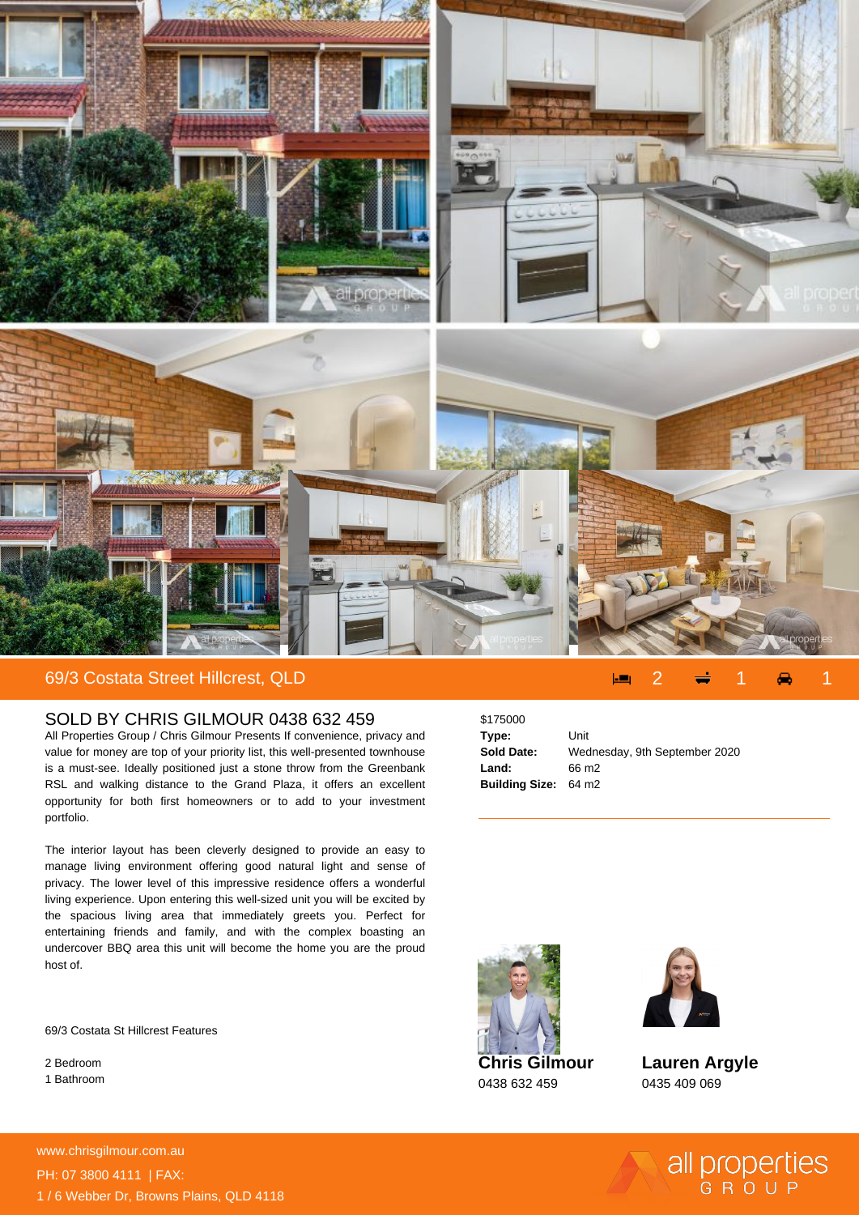

## 69/3 Costata Street Hillcrest, QLD 2 2 1 1 1 1 2 1 1 1 1 2 1 1 2 1 1 2 1 1 2 1 2 1 2 1 2 1 2 1 2 1 2 1 2 1 2 1 2 1 2 1 2 1 2 1 2 1 2 1 2 1 2 1 2 1 2 1 2 1 2 1 2 1 2 1 2 1 2 1 2 1 2 1 2 1 2 1 2 1 2 1 2 1 2 1 2 1 2 1 2 1 2 1

## SOLD BY CHRIS GILMOUR 0438 632 459

All Properties Group / Chris Gilmour Presents If convenience, privacy and value for money are top of your priority list, this well-presented townhouse is a must-see. Ideally positioned just a stone throw from the Greenbank RSL and walking distance to the Grand Plaza, it offers an excellent opportunity for both first homeowners or to add to your investment portfolio.

The interior layout has been cleverly designed to provide an easy to manage living environment offering good natural light and sense of privacy. The lower level of this impressive residence offers a wonderful living experience. Upon entering this well-sized unit you will be excited by the spacious living area that immediately greets you. Perfect for entertaining friends and family, and with the complex boasting an undercover BBQ area this unit will become the home you are the proud host of.

69/3 Costata St Hillcrest Features

2 Bedroom 1 Bathroom \$175000 **Type:** Unit **Sold Date:** Wednesday, 9th September 2020 **Land:** 66 m2 **Building Size:** 64 m2



0438 632 459



**Lauren Argyle** 0435 409 069

all properties

**For more details please visit https://www.chrisgilmour.com.au/5625767** www.chrisgilmour.com.au PH: 07 3800 4111 | FAX: 1 / 6 Webber Dr, Browns Plains, QLD 4118